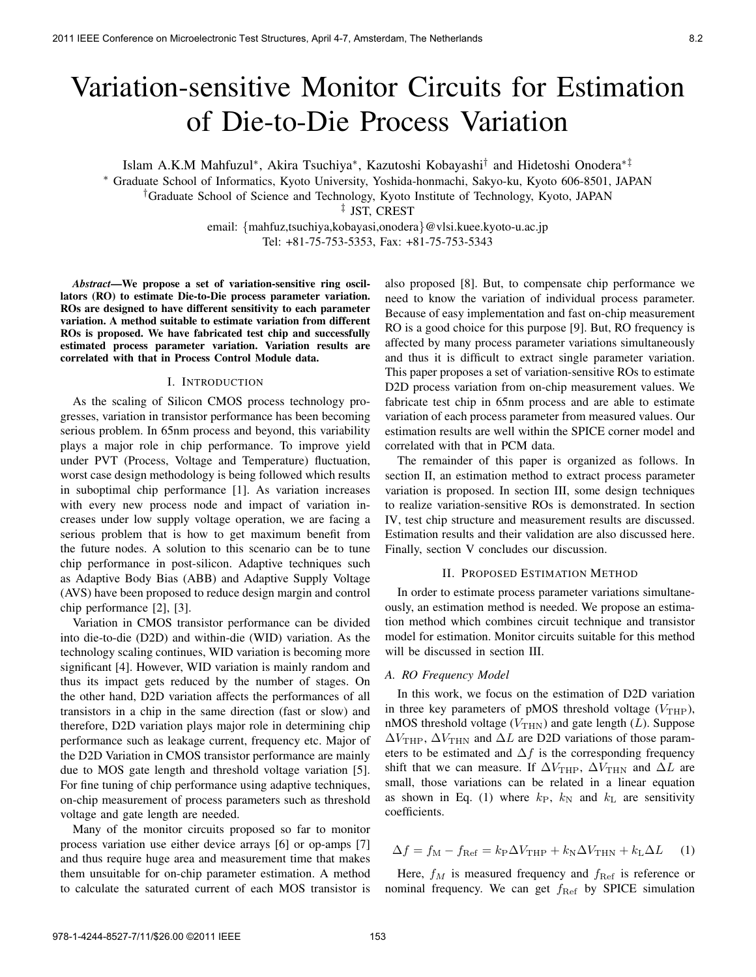# Variation-sensitive Monitor Circuits for Estimation of Die-to-Die Process Variation

Islam A.K.M Mahfuzul∗, Akira Tsuchiya∗, Kazutoshi Kobayashi† and Hidetoshi Onodera∗‡

∗ Graduate School of Informatics, Kyoto University, Yoshida-honmachi, Sakyo-ku, Kyoto 606-8501, JAPAN

†Graduate School of Science and Technology, Kyoto Institute of Technology, Kyoto, JAPAN

‡ JST, CREST

email: {mahfuz,tsuchiya,kobayasi,onodera}@vlsi.kuee.kyoto-u.ac.jp Tel: +81-75-753-5353, Fax: +81-75-753-5343

*Abstract*—We propose a set of variation-sensitive ring oscillators (RO) to estimate Die-to-Die process parameter variation. ROs are designed to have different sensitivity to each parameter variation. A method suitable to estimate variation from different ROs is proposed. We have fabricated test chip and successfully estimated process parameter variation. Variation results are correlated with that in Process Control Module data.

## I. INTRODUCTION

As the scaling of Silicon CMOS process technology progresses, variation in transistor performance has been becoming serious problem. In 65nm process and beyond, this variability plays a major role in chip performance. To improve yield under PVT (Process, Voltage and Temperature) fluctuation, worst case design methodology is being followed which results in suboptimal chip performance [1]. As variation increases with every new process node and impact of variation increases under low supply voltage operation, we are facing a serious problem that is how to get maximum benefit from the future nodes. A solution to this scenario can be to tune chip performance in post-silicon. Adaptive techniques such as Adaptive Body Bias (ABB) and Adaptive Supply Voltage (AVS) have been proposed to reduce design margin and control chip performance [2], [3].

Variation in CMOS transistor performance can be divided into die-to-die (D2D) and within-die (WID) variation. As the technology scaling continues, WID variation is becoming more significant [4]. However, WID variation is mainly random and thus its impact gets reduced by the number of stages. On the other hand, D2D variation affects the performances of all transistors in a chip in the same direction (fast or slow) and therefore, D2D variation plays major role in determining chip performance such as leakage current, frequency etc. Major of the D2D Variation in CMOS transistor performance are mainly due to MOS gate length and threshold voltage variation [5]. For fine tuning of chip performance using adaptive techniques, on-chip measurement of process parameters such as threshold voltage and gate length are needed.

Many of the monitor circuits proposed so far to monitor process variation use either device arrays [6] or op-amps [7] and thus require huge area and measurement time that makes them unsuitable for on-chip parameter estimation. A method to calculate the saturated current of each MOS transistor is

also proposed [8]. But, to compensate chip performance we need to know the variation of individual process parameter. Because of easy implementation and fast on-chip measurement RO is a good choice for this purpose [9]. But, RO frequency is affected by many process parameter variations simultaneously and thus it is difficult to extract single parameter variation. This paper proposes a set of variation-sensitive ROs to estimate D2D process variation from on-chip measurement values. We fabricate test chip in 65nm process and are able to estimate variation of each process parameter from measured values. Our estimation results are well within the SPICE corner model and correlated with that in PCM data.

The remainder of this paper is organized as follows. In section II, an estimation method to extract process parameter variation is proposed. In section III, some design techniques to realize variation-sensitive ROs is demonstrated. In section IV, test chip structure and measurement results are discussed. Estimation results and their validation are also discussed here. Finally, section V concludes our discussion.

### II. PROPOSED ESTIMATION METHOD

In order to estimate process parameter variations simultaneously, an estimation method is needed. We propose an estimation method which combines circuit technique and transistor model for estimation. Monitor circuits suitable for this method will be discussed in section III.

#### *A. RO Frequency Model*

In this work, we focus on the estimation of D2D variation in three key parameters of pMOS threshold voltage  $(V_{\text{THP}})$ , nMOS threshold voltage ( $V_{\text{THN}}$ ) and gate length (*L*). Suppose  $\Delta V_{\rm THP}$ ,  $\Delta V_{\rm THN}$  and  $\Delta L$  are D2D variations of those parameters to be estimated and  $\Delta f$  is the corresponding frequency shift that we can measure. If  $\Delta V_{\text{THP}}$ ,  $\Delta V_{\text{THN}}$  and  $\Delta L$  are small, those variations can be related in a linear equation as shown in Eq. (1) where  $k_P$ ,  $k_N$  and  $k_L$  are sensitivity coefficients.

$$
\Delta f = f_{\rm M} - f_{\rm Ref} = k_{\rm P} \Delta V_{\rm THP} + k_{\rm N} \Delta V_{\rm THN} + k_{\rm L} \Delta L \tag{1}
$$

Here,  $f_M$  is measured frequency and  $f_{\text{Ref}}$  is reference or nominal frequency. We can get  $f_{\text{Ref}}$  by SPICE simulation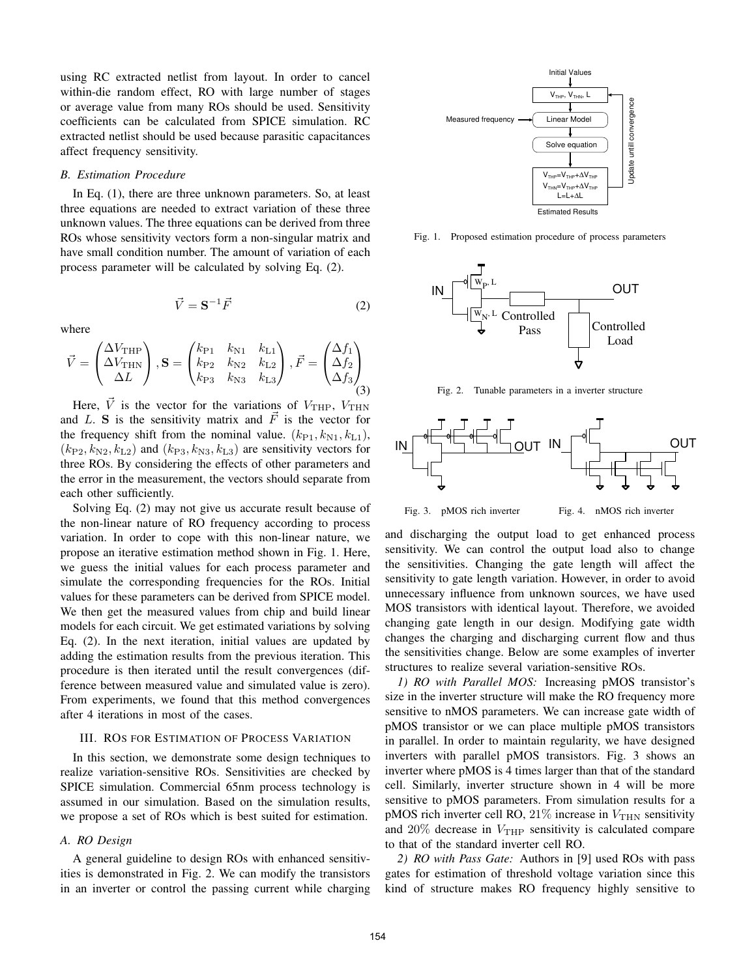using RC extracted netlist from layout. In order to cancel within-die random effect, RO with large number of stages or average value from many ROs should be used. Sensitivity coefficients can be calculated from SPICE simulation. RC extracted netlist should be used because parasitic capacitances affect frequency sensitivity.

# *B. Estimation Procedure*

In Eq. (1), there are three unknown parameters. So, at least three equations are needed to extract variation of these three unknown values. The three equations can be derived from three ROs whose sensitivity vectors form a non-singular matrix and have small condition number. The amount of variation of each process parameter will be calculated by solving Eq. (2).

$$
\vec{V} = \mathbf{S}^{-1}\vec{F} \tag{2}
$$

where

$$
\vec{V} = \begin{pmatrix} \Delta V_{\text{THP}} \\ \Delta V_{\text{THN}} \\ \Delta L \end{pmatrix}, \mathbf{S} = \begin{pmatrix} k_{\text{P1}} & k_{\text{N1}} & k_{\text{L1}} \\ k_{\text{P2}} & k_{\text{N2}} & k_{\text{L2}} \\ k_{\text{P3}} & k_{\text{N3}} & k_{\text{L3}} \end{pmatrix}, \vec{F} = \begin{pmatrix} \Delta f_1 \\ \Delta f_2 \\ \Delta f_3 \\ \Delta f_3 \end{pmatrix}
$$

Here,  $\vec{V}$  is the vector for the variations of  $V_{\text{THP}}$ ,  $V_{\text{THN}}$ and L. S is the sensitivity matrix and  $\vec{F}$  is the vector for the frequency shift from the nominal value.  $(k_{P1}, k_{N1}, k_{L1})$ ,  $(k_{P2}, k_{N2}, k_{L2})$  and  $(k_{P3}, k_{N3}, k_{L3})$  are sensitivity vectors for three ROs. By considering the effects of other parameters and the error in the measurement, the vectors should separate from each other sufficiently.

Solving Eq. (2) may not give us accurate result because of the non-linear nature of RO frequency according to process variation. In order to cope with this non-linear nature, we propose an iterative estimation method shown in Fig. 1. Here, we guess the initial values for each process parameter and simulate the corresponding frequencies for the ROs. Initial values for these parameters can be derived from SPICE model. We then get the measured values from chip and build linear models for each circuit. We get estimated variations by solving Eq. (2). In the next iteration, initial values are updated by adding the estimation results from the previous iteration. This procedure is then iterated until the result convergences (difference between measured value and simulated value is zero). From experiments, we found that this method convergences after 4 iterations in most of the cases.

#### III. ROS FOR ESTIMATION OF PROCESS VARIATION

In this section, we demonstrate some design techniques to realize variation-sensitive ROs. Sensitivities are checked by SPICE simulation. Commercial 65nm process technology is assumed in our simulation. Based on the simulation results, we propose a set of ROs which is best suited for estimation.

# *A. RO Design*

A general guideline to design ROs with enhanced sensitivities is demonstrated in Fig. 2. We can modify the transistors in an inverter or control the passing current while charging



Fig. 1. Proposed estimation procedure of process parameters



Fig. 2. Tunable parameters in a inverter structure



Fig. 3. pMOS rich inverter Fig. 4. nMOS rich inverter

and discharging the output load to get enhanced process sensitivity. We can control the output load also to change the sensitivities. Changing the gate length will affect the sensitivity to gate length variation. However, in order to avoid unnecessary influence from unknown sources, we have used MOS transistors with identical layout. Therefore, we avoided changing gate length in our design. Modifying gate width changes the charging and discharging current flow and thus the sensitivities change. Below are some examples of inverter structures to realize several variation-sensitive ROs.

*1) RO with Parallel MOS:* Increasing pMOS transistor's size in the inverter structure will make the RO frequency more sensitive to nMOS parameters. We can increase gate width of pMOS transistor or we can place multiple pMOS transistors in parallel. In order to maintain regularity, we have designed inverters with parallel pMOS transistors. Fig. 3 shows an inverter where pMOS is 4 times larger than that of the standard cell. Similarly, inverter structure shown in 4 will be more sensitive to pMOS parameters. From simulation results for a pMOS rich inverter cell RO,  $21\%$  increase in  $V_{\text{THN}}$  sensitivity and  $20\%$  decrease in  $V_{\text{THP}}$  sensitivity is calculated compare to that of the standard inverter cell RO.

*2) RO with Pass Gate:* Authors in [9] used ROs with pass gates for estimation of threshold voltage variation since this kind of structure makes RO frequency highly sensitive to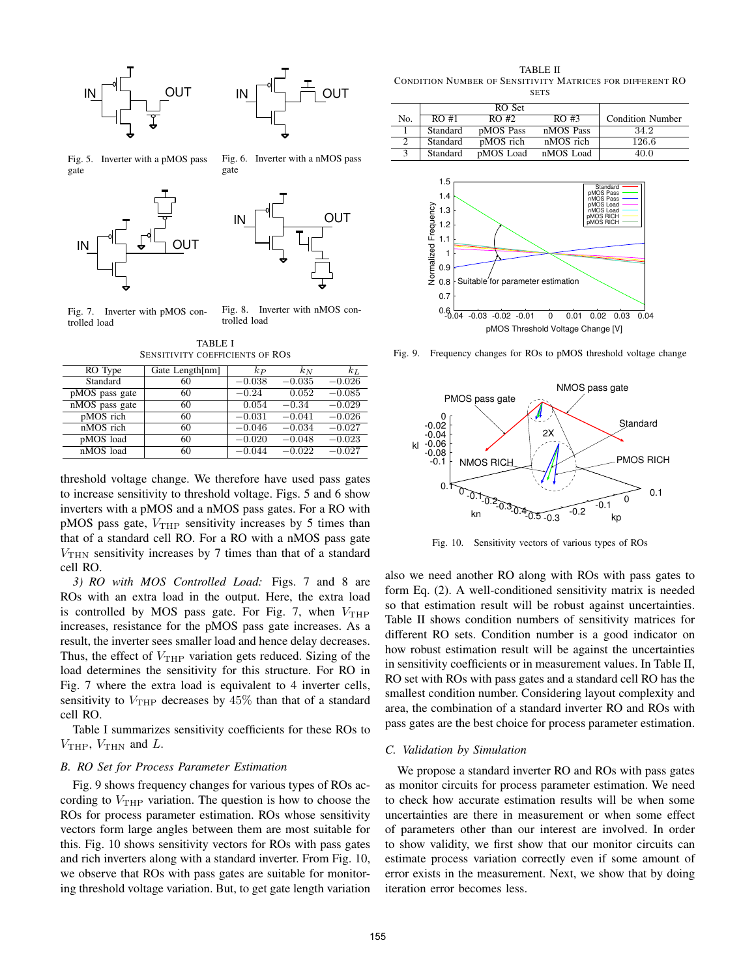



Fig. 6. Inverter with a nMOS pass

Fig. 5. Inverter with a pMOS pass gate





Fig. 7. Inverter with pMOS controlled load

Fig. 8. Inverter with nMOS controlled load

TABLE I SENSITIVITY COEFFICIENTS OF ROS

gate

| RO Type        | Gate Length[nm] | $k_{P}$  | $k_N$    | $k_L$    |
|----------------|-----------------|----------|----------|----------|
| Standard       | 60              | $-0.038$ | $-0.035$ | $-0.026$ |
| pMOS pass gate | 60              | $-0.24$  | 0.052    | $-0.085$ |
| nMOS pass gate | 60              | 0.054    | $-0.34$  | $-0.029$ |
| pMOS rich      | 60              | $-0.031$ | $-0.041$ | $-0.026$ |
| nMOS rich      | 60              | $-0.046$ | $-0.034$ | $-0.027$ |
| pMOS load      | 60              | $-0.020$ | $-0.048$ | $-0.023$ |
| nMOS load      | 60              | $-0.044$ | $-0.022$ | $-0.027$ |
|                |                 |          |          |          |

threshold voltage change. We therefore have used pass gates to increase sensitivity to threshold voltage. Figs. 5 and 6 show inverters with a pMOS and a nMOS pass gates. For a RO with pMOS pass gate,  $V_{\text{THP}}$  sensitivity increases by 5 times than that of a standard cell RO. For a RO with a nMOS pass gate  $V<sub>THN</sub>$  sensitivity increases by 7 times than that of a standard cell RO.

*3) RO with MOS Controlled Load:* Figs. 7 and 8 are ROs with an extra load in the output. Here, the extra load is controlled by MOS pass gate. For Fig. 7, when  $V_{\text{THP}}$ increases, resistance for the pMOS pass gate increases. As a result, the inverter sees smaller load and hence delay decreases. Thus, the effect of  $V_{\text{THP}}$  variation gets reduced. Sizing of the load determines the sensitivity for this structure. For RO in Fig. 7 where the extra load is equivalent to 4 inverter cells, sensitivity to  $V_{\text{THP}}$  decreases by 45% than that of a standard cell RO.

Table I summarizes sensitivity coefficients for these ROs to  $V_{\text{THP}}$ ,  $V_{\text{THN}}$  and  $L$ .

# *B. RO Set for Process Parameter Estimation*

Fig. 9 shows frequency changes for various types of ROs according to  $V_{\text{THP}}$  variation. The question is how to choose the ROs for process parameter estimation. ROs whose sensitivity vectors form large angles between them are most suitable for this. Fig. 10 shows sensitivity vectors for ROs with pass gates and rich inverters along with a standard inverter. From Fig. 10, we observe that ROs with pass gates are suitable for monitoring threshold voltage variation. But, to get gate length variation

TABLE II CONDITION NUMBER OF SENSITIVITY MATRICES FOR DIFFERENT RO **SETS** 

|     |          | RO Set    |           |                         |
|-----|----------|-----------|-----------|-------------------------|
| No. | RO#1     | RO#2      | RO#3      | <b>Condition Number</b> |
|     | Standard | pMOS Pass | nMOS Pass | 34.2                    |
|     | Standard | pMOS rich | nMOS rich | 126.6                   |
|     | Standard | pMOS Load | nMOS Load | 40.0                    |



Fig. 9. Frequency changes for ROs to pMOS threshold voltage change



Fig. 10. Sensitivity vectors of various types of ROs

also we need another RO along with ROs with pass gates to form Eq. (2). A well-conditioned sensitivity matrix is needed so that estimation result will be robust against uncertainties. Table II shows condition numbers of sensitivity matrices for different RO sets. Condition number is a good indicator on how robust estimation result will be against the uncertainties in sensitivity coefficients or in measurement values. In Table II, RO set with ROs with pass gates and a standard cell RO has the smallest condition number. Considering layout complexity and area, the combination of a standard inverter RO and ROs with pass gates are the best choice for process parameter estimation.

#### *C. Validation by Simulation*

We propose a standard inverter RO and ROs with pass gates as monitor circuits for process parameter estimation. We need to check how accurate estimation results will be when some uncertainties are there in measurement or when some effect of parameters other than our interest are involved. In order to show validity, we first show that our monitor circuits can estimate process variation correctly even if some amount of error exists in the measurement. Next, we show that by doing iteration error becomes less.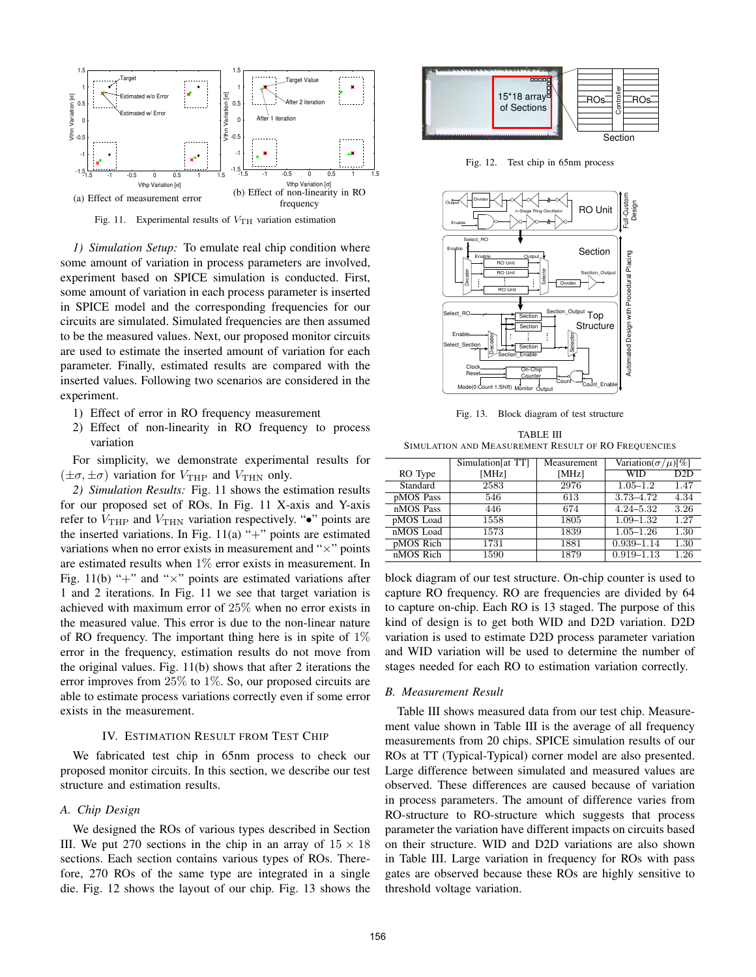

Fig. 11. Experimental results of  $V_{\text{TH}}$  variation estimation

*1) Simulation Setup:* To emulate real chip condition where some amount of variation in process parameters are involved, experiment based on SPICE simulation is conducted. First, some amount of variation in each process parameter is inserted in SPICE model and the corresponding frequencies for our circuits are simulated. Simulated frequencies are then assumed to be the measured values. Next, our proposed monitor circuits are used to estimate the inserted amount of variation for each parameter. Finally, estimated results are compared with the inserted values. Following two scenarios are considered in the experiment.

- 1) Effect of error in RO frequency measurement
- 2) Effect of non-linearity in RO frequency to process variation

For simplicity, we demonstrate experimental results for  $(\pm \sigma, \pm \sigma)$  variation for  $V_{\text{THP}}$  and  $V_{\text{THN}}$  only.

*2) Simulation Results:* Fig. 11 shows the estimation results for our proposed set of ROs. In Fig. 11 X-axis and Y-axis refer to  $V_{\text{THP}}$  and  $V_{\text{THN}}$  variation respectively. " $\bullet$ " points are the inserted variations. In Fig.  $11(a)$  "+" points are estimated variations when no error exists in measurement and " $\times$ " points are estimated results when  $1\%$  error exists in measurement. In Fig. 11(b) "+" and " $\times$ " points are estimated variations after 1 and 2 iterations. In Fig. 11 we see that target variation is achieved with maximum error of 25% when no error exists in the measured value. This error is due to the non-linear nature of RO frequency. The important thing here is in spite of  $1\%$ error in the frequency, estimation results do not move from the original values. Fig. 11(b) shows that after 2 iterations the error improves from 25% to 1%. So, our proposed circuits are able to estimate process variations correctly even if some error exists in the measurement.

#### IV. ESTIMATION RESULT FROM TEST CHIP

We fabricated test chip in 65nm process to check our proposed monitor circuits. In this section, we describe our test structure and estimation results.

#### *A. Chip Design*

We designed the ROs of various types described in Section III. We put 270 sections in the chip in an array of  $15 \times 18$ sections. Each section contains various types of ROs. Therefore, 270 ROs of the same type are integrated in a single die. Fig. 12 shows the layout of our chip. Fig. 13 shows the



Fig. 12. Test chip in 65nm process



Fig. 13. Block diagram of test structure

TABLE III SIMULATION AND MEASUREMENT RESULT OF RO FREQUENCIES

|             | Simulation[at TT] | Measurement | Variation( $\sigma/\mu$ )[%] |      |
|-------------|-------------------|-------------|------------------------------|------|
| RO Type     | [MHz]             | [MHz]       | <b>WID</b>                   | D2D  |
| Standard    | 2583              | 2976        | $1.05 - 1.2$                 | 1.47 |
| pMOS Pass   | 546               | 613         | 3.73-4.72                    | 4.34 |
| nMOS Pass   | 446               | 674         | $4.24 - 5.32$                | 3.26 |
| pMOS Load   | 1558              | 1805        | $1.09 - 1.32$                | 1.27 |
| $nMOS$ Load | 1573              | 1839        | $1.05 - 1.26$                | 1.30 |
| pMOS Rich   | 1731              | 1881        | $0.939 - 1.14$               | 1.30 |
| nMOS Rich   | 1590              | 1879        | $0.919 - 1.13$               | 1.26 |

block diagram of our test structure. On-chip counter is used to capture RO frequency. RO are frequencies are divided by 64 to capture on-chip. Each RO is 13 staged. The purpose of this kind of design is to get both WID and D2D variation. D2D variation is used to estimate D2D process parameter variation and WID variation will be used to determine the number of stages needed for each RO to estimation variation correctly.

### *B. Measurement Result*

Table III shows measured data from our test chip. Measurement value shown in Table III is the average of all frequency measurements from 20 chips. SPICE simulation results of our ROs at TT (Typical-Typical) corner model are also presented. Large difference between simulated and measured values are observed. These differences are caused because of variation in process parameters. The amount of difference varies from RO-structure to RO-structure which suggests that process parameter the variation have different impacts on circuits based on their structure. WID and D2D variations are also shown in Table III. Large variation in frequency for ROs with pass gates are observed because these ROs are highly sensitive to threshold voltage variation.